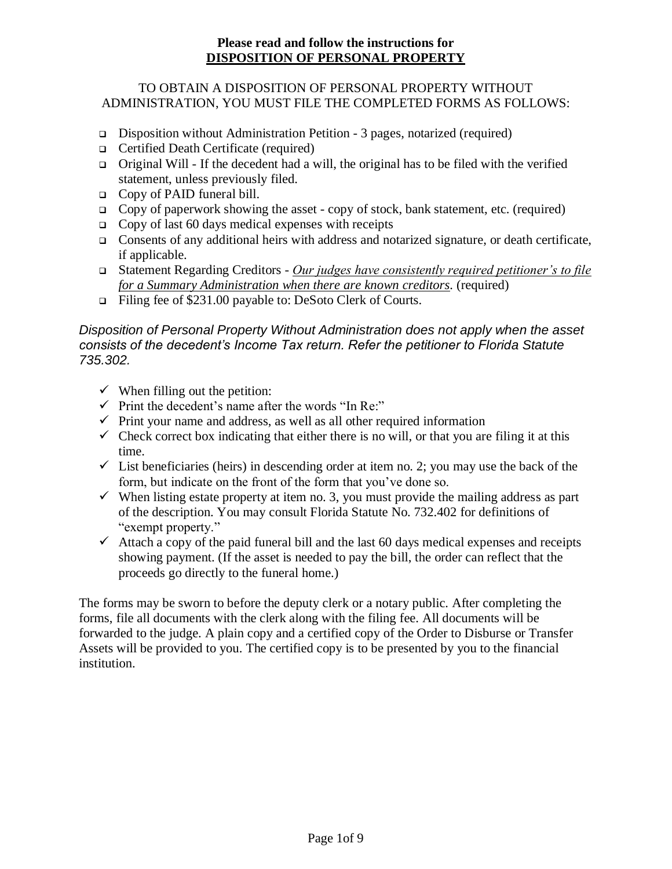### TO OBTAIN A DISPOSITION OF PERSONAL PROPERTY WITHOUT ADMINISTRATION, YOU MUST FILE THE COMPLETED FORMS AS FOLLOWS:

- ❑ Disposition without Administration Petition 3 pages, notarized (required)
- ❑ Certified Death Certificate (required)
- ❑ Original Will If the decedent had a will, the original has to be filed with the verified statement, unless previously filed.
- ❑ Copy of PAID funeral bill.
- $\Box$  Copy of paperwork showing the asset copy of stock, bank statement, etc. (required)
- $\Box$  Copy of last 60 days medical expenses with receipts
- ❑ Consents of any additional heirs with address and notarized signature, or death certificate, if applicable.
- ❑ Statement Regarding Creditors *Our judges have consistently required petitioner's to file for a Summary Administration when there are known creditors.* (required)
- ❑ Filing fee of \$231.00 payable to: DeSoto Clerk of Courts.

### *Disposition of Personal Property Without Administration does not apply when the asset consists of the decedent's Income Tax return. Refer the petitioner to Florida Statute 735.302.*

- $\checkmark$  When filling out the petition:
- $\checkmark$  Print the decedent's name after the words "In Re:"
- $\checkmark$  Print your name and address, as well as all other required information
- $\checkmark$  Check correct box indicating that either there is no will, or that you are filing it at this time.
- $\checkmark$  List beneficiaries (heirs) in descending order at item no. 2; you may use the back of the form, but indicate on the front of the form that you've done so.
- $\checkmark$  When listing estate property at item no. 3, you must provide the mailing address as part of the description. You may consult Florida Statute No. 732.402 for definitions of "exempt property."
- $\checkmark$  Attach a copy of the paid funeral bill and the last 60 days medical expenses and receipts showing payment. (If the asset is needed to pay the bill, the order can reflect that the proceeds go directly to the funeral home.)

The forms may be sworn to before the deputy clerk or a notary public. After completing the forms, file all documents with the clerk along with the filing fee. All documents will be forwarded to the judge. A plain copy and a certified copy of the Order to Disburse or Transfer Assets will be provided to you. The certified copy is to be presented by you to the financial institution.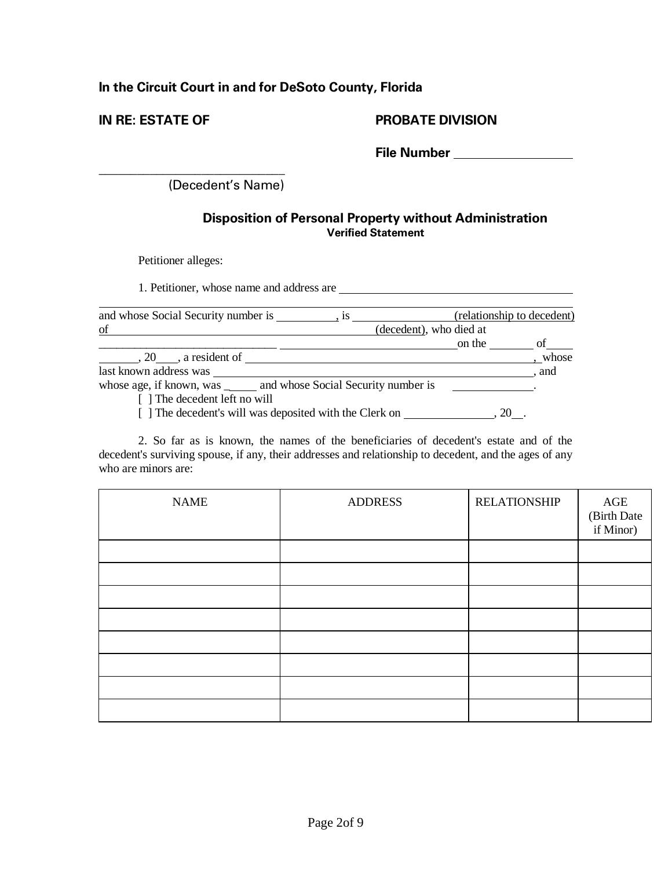# **In the Circuit Court in and for DeSoto County, Florida**

### **IN RE: ESTATE OF PROBATE DIVISION**

**File Number** 

(Decedent's Name)

### **Disposition of Personal Property without Administration Verified Statement**

Petitioner alleges:

**\_\_\_\_\_\_\_\_\_\_\_\_\_\_\_\_\_\_\_\_\_\_\_\_\_\_\_\_\_**

1. Petitioner, whose name and address are

| and whose Social Security number is                                  | $\frac{1}{s}$ 18 |                         | (relationship to decedent) |
|----------------------------------------------------------------------|------------------|-------------------------|----------------------------|
| of                                                                   |                  | (decedent), who died at |                            |
|                                                                      |                  | on the                  |                            |
| 20, a resident of                                                    |                  |                         | whose                      |
| last known address was                                               |                  |                         | . and                      |
| whose age, if known, was _______ and whose Social Security number is |                  |                         |                            |
| [] The decedent left no will                                         |                  |                         |                            |
| [] The decedent's will was deposited with the Clerk on               |                  |                         |                            |

2. So far as is known, the names of the beneficiaries of decedent's estate and of the decedent's surviving spouse, if any, their addresses and relationship to decedent, and the ages of any who are minors are:

| <b>NAME</b> | <b>ADDRESS</b> | <b>RELATIONSHIP</b> | AGE<br>(Birth Date<br>if Minor) |
|-------------|----------------|---------------------|---------------------------------|
|             |                |                     |                                 |
|             |                |                     |                                 |
|             |                |                     |                                 |
|             |                |                     |                                 |
|             |                |                     |                                 |
|             |                |                     |                                 |
|             |                |                     |                                 |
|             |                |                     |                                 |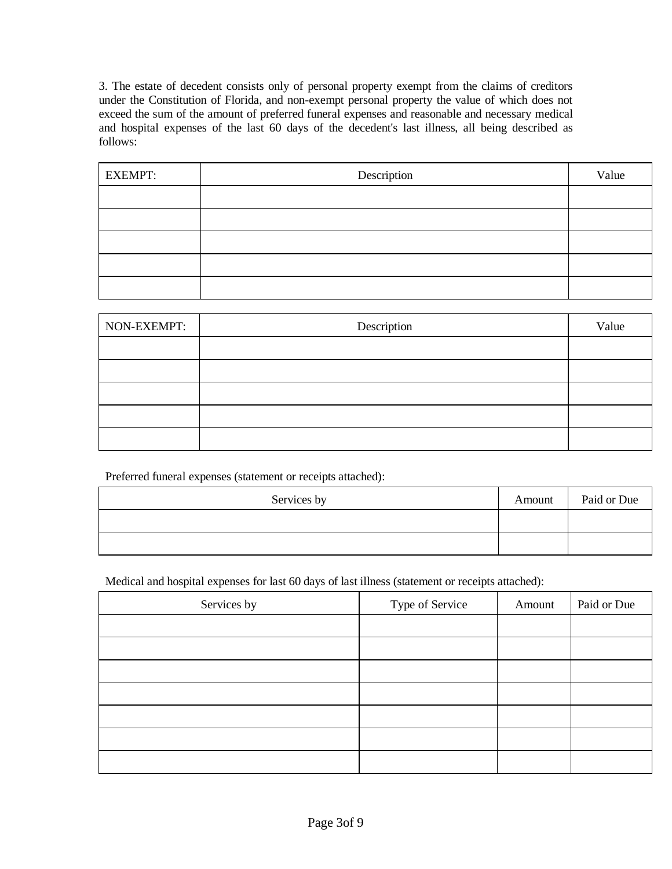3. The estate of decedent consists only of personal property exempt from the claims of creditors under the Constitution of Florida, and non-exempt personal property the value of which does not exceed the sum of the amount of preferred funeral expenses and reasonable and necessary medical and hospital expenses of the last 60 days of the decedent's last illness, all being described as follows:

| <b>EXEMPT:</b> | Description | Value |
|----------------|-------------|-------|
|                |             |       |
|                |             |       |
|                |             |       |
|                |             |       |
|                |             |       |

| NON-EXEMPT: | Description | Value |
|-------------|-------------|-------|
|             |             |       |
|             |             |       |
|             |             |       |
|             |             |       |
|             |             |       |

Preferred funeral expenses (statement or receipts attached):

| Services by | Amount | Paid or Due |
|-------------|--------|-------------|
|             |        |             |
|             |        |             |

Medical and hospital expenses for last 60 days of last illness (statement or receipts attached):

| Services by | Type of Service | Amount | Paid or Due |
|-------------|-----------------|--------|-------------|
|             |                 |        |             |
|             |                 |        |             |
|             |                 |        |             |
|             |                 |        |             |
|             |                 |        |             |
|             |                 |        |             |
|             |                 |        |             |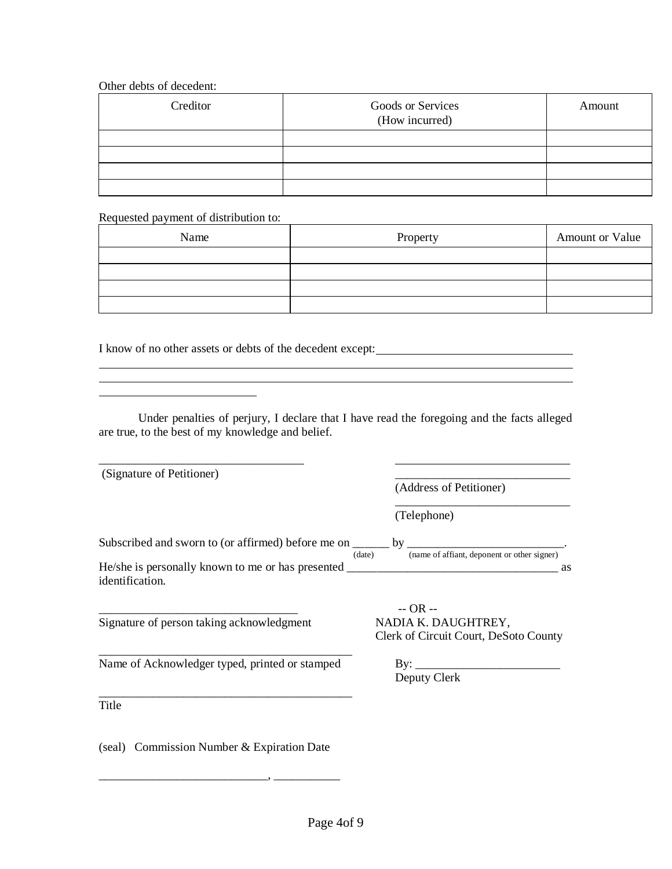#### Other debts of decedent:

| Creditor | Goods or Services<br>(How incurred) | Amount |
|----------|-------------------------------------|--------|
|          |                                     |        |
|          |                                     |        |
|          |                                     |        |
|          |                                     |        |

#### Requested payment of distribution to:

| Name | Property | Amount or Value |
|------|----------|-----------------|
|      |          |                 |
|      |          |                 |
|      |          |                 |
|      |          |                 |

I know of no other assets or debts of the decedent except:

Under penalties of perjury, I declare that I have read the foregoing and the facts alleged are true, to the best of my knowledge and belief.

<u> 1989 - Johann Stoff, amerikansk politiker (d. 1989)</u> <u> 1989 - Jan Samuel Barbara, marka a shekara tsara na shekara tsa a shekara tsara tsara tsara tsara tsara tsa</u>

| (Signature of Petitioner)                                                                            |                                                       |
|------------------------------------------------------------------------------------------------------|-------------------------------------------------------|
|                                                                                                      | (Address of Petitioner)                               |
|                                                                                                      | (Telephone)                                           |
| Subscribed and sworn to (or affirmed) before me on ______ by ____________________                    | (name of affiant, deponent or other signer)<br>(date) |
| He/she is personally known to me or has presented _______________________________<br>identification. | as                                                    |
| Signature of person taking acknowledgment                                                            | $-$ OR $-$<br>NADIA K. DAUGHTREY,                     |
|                                                                                                      | Clerk of Circuit Court, DeSoto County                 |
| Name of Acknowledger typed, printed or stamped                                                       |                                                       |
|                                                                                                      | Deputy Clerk                                          |
| Title                                                                                                |                                                       |
| (seal) Commission Number & Expiration Date                                                           |                                                       |

\_\_\_\_\_\_\_\_\_\_\_\_\_\_\_\_\_\_\_\_\_\_\_\_\_\_\_\_, \_\_\_\_\_\_\_\_\_\_\_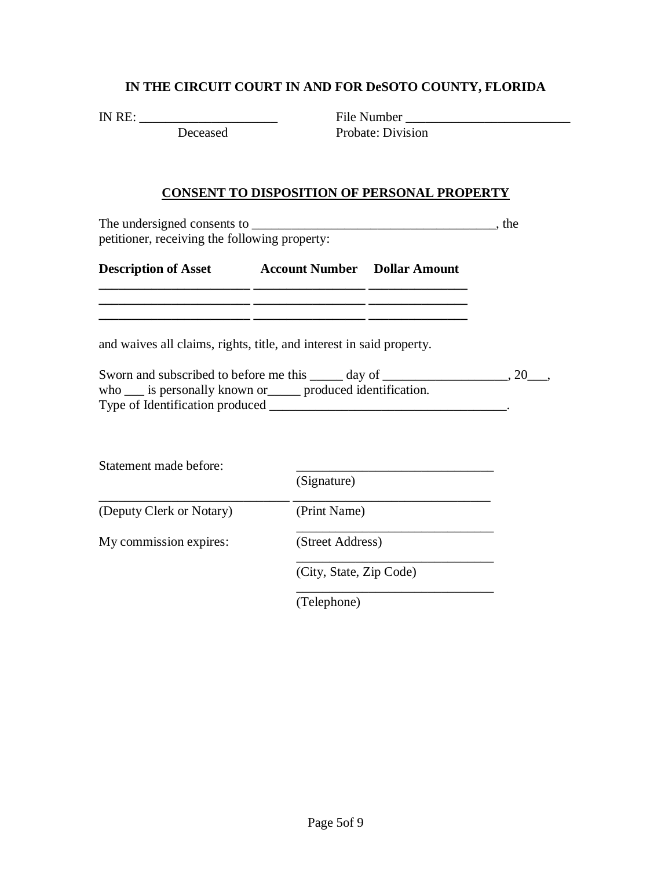### **IN THE CIRCUIT COURT IN AND FOR DeSOTO COUNTY, FLORIDA**

IN RE: \_\_\_\_\_\_\_\_\_\_\_\_\_\_\_\_\_\_\_\_\_ File Number \_\_\_\_\_\_\_\_\_\_\_\_\_\_\_\_\_\_\_\_\_\_\_\_\_ Deceased Probate: Division

#### **CONSENT TO DISPOSITION OF PERSONAL PROPERTY**

The undersigned consents to \_\_\_\_\_\_\_\_\_\_\_\_\_\_\_\_\_\_\_\_\_\_\_\_\_\_\_\_\_\_\_\_\_\_\_\_\_, the petitioner, receiving the following property:

**Description of Asset 4** Account Number **Dollar Amount \_\_\_\_\_\_\_\_\_\_\_\_\_\_\_\_\_\_\_\_\_\_\_ \_\_\_\_\_\_\_\_\_\_\_\_\_\_\_\_\_ \_\_\_\_\_\_\_\_\_\_\_\_\_\_\_** 

**\_\_\_\_\_\_\_\_\_\_\_\_\_\_\_\_\_\_\_\_\_\_\_ \_\_\_\_\_\_\_\_\_\_\_\_\_\_\_\_\_ \_\_\_\_\_\_\_\_\_\_\_\_\_\_\_ \_\_\_\_\_\_\_\_\_\_\_\_\_\_\_\_\_\_\_\_\_\_\_ \_\_\_\_\_\_\_\_\_\_\_\_\_\_\_\_\_ \_\_\_\_\_\_\_\_\_\_\_\_\_\_\_** 

and waives all claims, rights, title, and interest in said property.

| Sworn and subscribed to before me this<br>day of            |  |
|-------------------------------------------------------------|--|
| who ____ is personally known or<br>produced identification. |  |
| Type of Identification produced                             |  |

| Statement made before:   |                         |  |  |
|--------------------------|-------------------------|--|--|
|                          | (Signature)             |  |  |
| (Deputy Clerk or Notary) | (Print Name)            |  |  |
| My commission expires:   | (Street Address)        |  |  |
|                          | (City, State, Zip Code) |  |  |
|                          |                         |  |  |

(Telephone)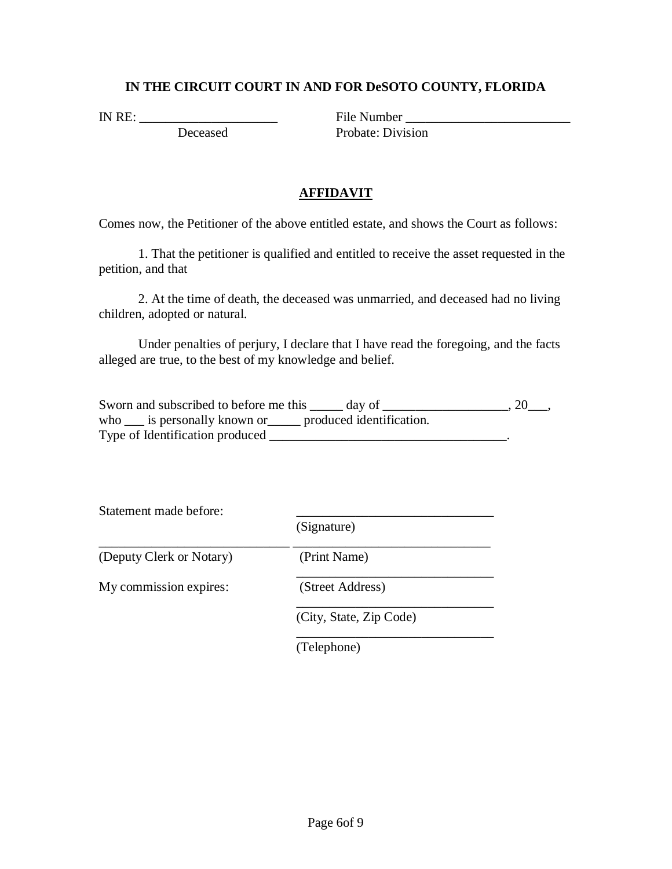### **IN THE CIRCUIT COURT IN AND FOR DeSOTO COUNTY, FLORIDA**

IN RE: \_\_\_\_\_\_\_\_\_\_\_\_\_\_\_\_\_\_\_\_\_ File Number \_\_\_\_\_\_\_\_\_\_\_\_\_\_\_\_\_\_\_\_\_\_\_\_\_ Probate: Division

### **AFFIDAVIT**

Comes now, the Petitioner of the above entitled estate, and shows the Court as follows:

1. That the petitioner is qualified and entitled to receive the asset requested in the petition, and that

2. At the time of death, the deceased was unmarried, and deceased had no living children, adopted or natural.

Under penalties of perjury, I declare that I have read the foregoing, and the facts alleged are true, to the best of my knowledge and belief.

| Sworn and subscribed to before me this<br>day of               |  |
|----------------------------------------------------------------|--|
| who ___ is personally known or ______ produced identification. |  |
| Type of Identification produced                                |  |

Statement made before:

\_\_\_\_\_\_\_\_\_\_\_\_\_\_\_\_\_\_\_\_\_\_\_\_\_\_\_\_\_ \_\_\_\_\_\_\_\_\_\_\_\_\_\_\_\_\_\_\_\_\_\_\_\_\_\_\_\_\_\_ (Deputy Clerk or Notary) (Print Name)

My commission expires: (Street Address)

\_\_\_\_\_\_\_\_\_\_\_\_\_\_\_\_\_\_\_\_\_\_\_\_\_\_\_\_\_\_

(Signature)

(City, State, Zip Code)

\_\_\_\_\_\_\_\_\_\_\_\_\_\_\_\_\_\_\_\_\_\_\_\_\_\_\_\_\_\_

\_\_\_\_\_\_\_\_\_\_\_\_\_\_\_\_\_\_\_\_\_\_\_\_\_\_\_\_\_\_

(Telephone)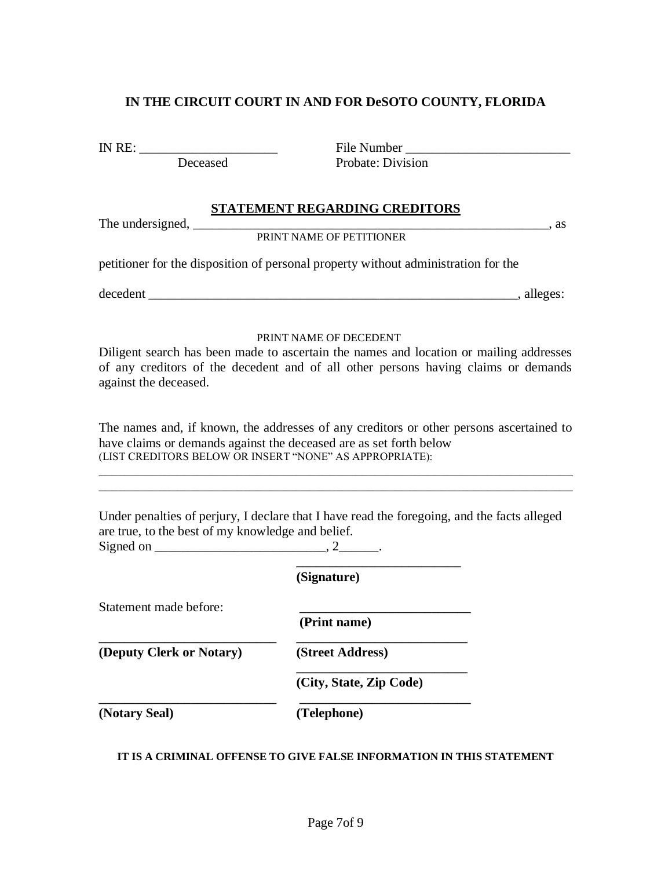### **IN THE CIRCUIT COURT IN AND FOR DeSOTO COUNTY, FLORIDA**

IN RE: \_\_\_\_\_\_\_\_\_\_\_\_\_\_\_\_\_\_\_\_\_ File Number \_\_\_\_\_\_\_\_\_\_\_\_\_\_\_\_\_\_\_\_\_\_\_\_\_ Deceased Probate: Division

### **STATEMENT REGARDING CREDITORS**

The undersigned, the same state  $\alpha$ , as

PRINT NAME OF PETITIONER

petitioner for the disposition of personal property without administration for the

decedent \_\_\_\_\_\_\_\_\_\_\_\_\_\_\_\_\_\_\_\_\_\_\_\_\_\_\_\_\_\_\_\_\_\_\_\_\_\_\_\_\_\_\_\_\_\_\_\_\_\_\_\_\_\_\_\_, alleges:

#### PRINT NAME OF DECEDENT

Diligent search has been made to ascertain the names and location or mailing addresses of any creditors of the decedent and of all other persons having claims or demands against the deceased.

The names and, if known, the addresses of any creditors or other persons ascertained to have claims or demands against the deceased are as set forth below (LIST CREDITORS BELOW OR INSERT "NONE" AS APPROPRIATE):

\_\_\_\_\_\_\_\_\_\_\_\_\_\_\_\_\_\_\_\_\_\_\_\_\_\_\_\_\_\_\_\_\_\_\_\_\_\_\_\_\_\_\_\_\_\_\_\_\_\_\_\_\_\_\_\_\_\_\_\_\_\_\_\_\_\_\_\_\_\_\_\_

\_\_\_\_\_\_\_\_\_\_\_\_\_\_\_\_\_\_\_\_\_\_\_\_\_\_\_\_\_\_\_\_\_\_\_\_\_\_\_\_\_\_\_\_\_\_\_\_\_\_\_\_\_\_\_\_\_\_\_\_\_\_\_\_\_\_\_\_\_\_\_\_

Under penalties of perjury, I declare that I have read the foregoing, and the facts alleged are true, to the best of my knowledge and belief. Signed on  $\_\_\_\_\_\_\$ , 2 $\_\_\_\_\_\_\_\$ 

|                          | (Signature)             |
|--------------------------|-------------------------|
| Statement made before:   | (Print name)            |
| (Deputy Clerk or Notary) | (Street Address)        |
|                          | (City, State, Zip Code) |
| (Notary Seal)            | (Telephone)             |

#### **IT IS A CRIMINAL OFFENSE TO GIVE FALSE INFORMATION IN THIS STATEMENT**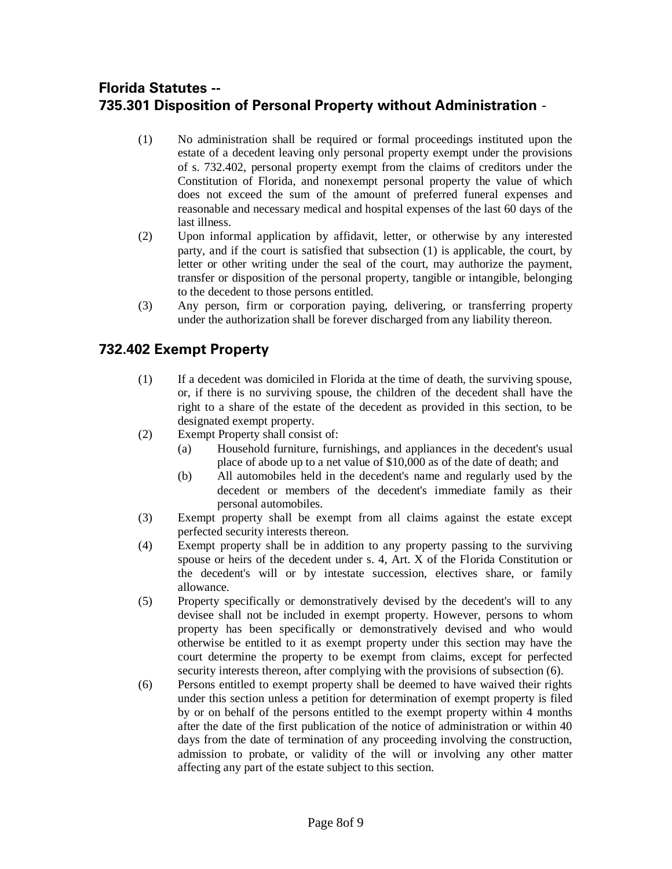# **Florida Statutes -- 735.301 Disposition of Personal Property without Administration** -

- (1) No administration shall be required or formal proceedings instituted upon the estate of a decedent leaving only personal property exempt under the provisions of s. 732.402, personal property exempt from the claims of creditors under the Constitution of Florida, and nonexempt personal property the value of which does not exceed the sum of the amount of preferred funeral expenses and reasonable and necessary medical and hospital expenses of the last 60 days of the last illness.
- (2) Upon informal application by affidavit, letter, or otherwise by any interested party, and if the court is satisfied that subsection (1) is applicable, the court, by letter or other writing under the seal of the court, may authorize the payment, transfer or disposition of the personal property, tangible or intangible, belonging to the decedent to those persons entitled.
- (3) Any person, firm or corporation paying, delivering, or transferring property under the authorization shall be forever discharged from any liability thereon.

# **732.402 Exempt Property**

- (1) If a decedent was domiciled in Florida at the time of death, the surviving spouse, or, if there is no surviving spouse, the children of the decedent shall have the right to a share of the estate of the decedent as provided in this section, to be designated exempt property.
- (2) Exempt Property shall consist of:
	- (a) Household furniture, furnishings, and appliances in the decedent's usual place of abode up to a net value of \$10,000 as of the date of death; and
	- (b) All automobiles held in the decedent's name and regularly used by the decedent or members of the decedent's immediate family as their personal automobiles.
- (3) Exempt property shall be exempt from all claims against the estate except perfected security interests thereon.
- (4) Exempt property shall be in addition to any property passing to the surviving spouse or heirs of the decedent under s. 4, Art. X of the Florida Constitution or the decedent's will or by intestate succession, electives share, or family allowance.
- (5) Property specifically or demonstratively devised by the decedent's will to any devisee shall not be included in exempt property. However, persons to whom property has been specifically or demonstratively devised and who would otherwise be entitled to it as exempt property under this section may have the court determine the property to be exempt from claims, except for perfected security interests thereon, after complying with the provisions of subsection (6).
- (6) Persons entitled to exempt property shall be deemed to have waived their rights under this section unless a petition for determination of exempt property is filed by or on behalf of the persons entitled to the exempt property within 4 months after the date of the first publication of the notice of administration or within 40 days from the date of termination of any proceeding involving the construction, admission to probate, or validity of the will or involving any other matter affecting any part of the estate subject to this section.